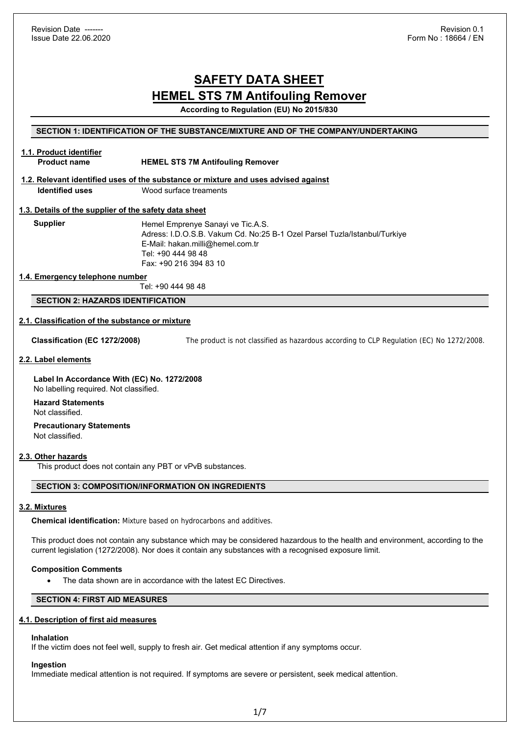**According to Regulation (EU) No 2015/830** 

## **SECTION 1: IDENTIFICATION OF THE SUBSTANCE/MIXTURE AND OF THE COMPANY/UNDERTAKING**

**1.1. Product identifier Product name HEMEL STS 7M Antifouling Remover**

#### **1.2. Relevant identified uses of the substance or mixture and uses advised against Identified uses** Wood surface treaments

# **1.3. Details of the supplier of the safety data sheet**

| <b>Supplier</b> | Hemel Emprenye Sanayi ve Tic.A.S.                                         |
|-----------------|---------------------------------------------------------------------------|
|                 | Adress: I.D.O.S.B. Vakum Cd. No:25 B-1 Ozel Parsel Tuzla/Istanbul/Turkiye |
|                 | E-Mail: hakan.milli@hemel.com.tr                                          |
|                 | Tel: +90 444 98 48                                                        |
|                 | Fax: +90 216 394 83 10                                                    |

#### **1.4. Emergency telephone number**

Tel: +90 444 98 48

## **SECTION 2: HAZARDS IDENTIFICATION**

## **2.1. Classification of the substance or mixture**

**Classification (EC 1272/2008)** The product is not classified as hazardous according to CLP Regulation (EC) No 1272/2008.

#### **2.2. Label elements**

 **Label In Accordance With (EC) No. 1272/2008** 

No labelling required. Not classified.

#### **Hazard Statements**  Not classified.

 **Precautionary Statements**  Not classified.

#### **2.3. Other hazards**

This product does not contain any PBT or vPvB substances.

## **SECTION 3: COMPOSITION/INFORMATION ON INGREDIENTS**

## **3.2. Mixtures**

**Chemical identification:** Mixture based on hydrocarbons and additives.

This product does not contain any substance which may be considered hazardous to the health and environment, according to the current legislation (1272/2008). Nor does it contain any substances with a recognised exposure limit.

## **Composition Comments**

The data shown are in accordance with the latest EC Directives.

# **SECTION 4: FIRST AID MEASURES**

## **4.1. Description of first aid measures**

## **Inhalation**

If the victim does not feel well, supply to fresh air. Get medical attention if any symptoms occur.

## **Ingestion**

Immediate medical attention is not required. If symptoms are severe or persistent, seek medical attention.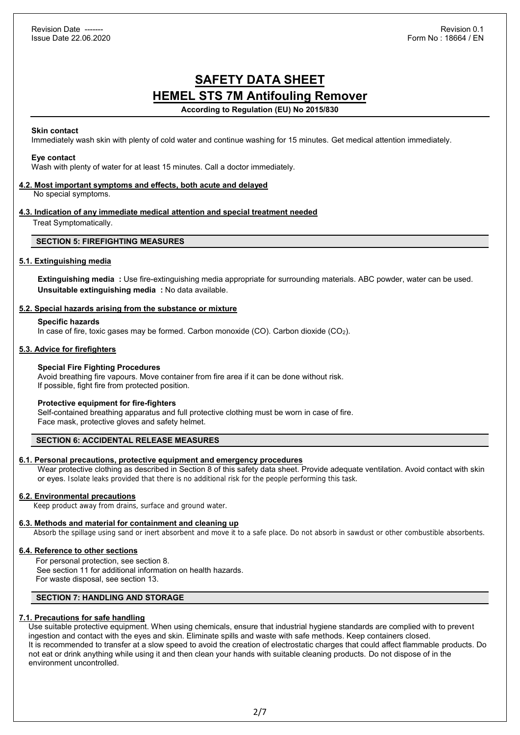**According to Regulation (EU) No 2015/830** 

#### **Skin contact**

Immediately wash skin with plenty of cold water and continue washing for 15 minutes. Get medical attention immediately.

#### **Eye contact**

Wash with plenty of water for at least 15 minutes. Call a doctor immediately.

#### **4.2. Most important symptoms and effects, both acute and delayed**

No special symptoms.

## **4.3. Indication of any immediate medical attention and special treatment needed**

Treat Symptomatically.

## **SECTION 5: FIREFIGHTING MEASURES**

#### **5.1. Extinguishing media**

**Extinguishing media :** Use fire-extinguishing media appropriate for surrounding materials. ABC powder, water can be used. **Unsuitable extinguishing media :** No data available.

## **5.2. Special hazards arising from the substance or mixture**

**Specific hazards** 

In case of fire, toxic gases may be formed. Carbon monoxide (CO). Carbon dioxide (CO2).

## **5.3. Advice for firefighters**

### **Special Fire Fighting Procedures**

Avoid breathing fire vapours. Move container from fire area if it can be done without risk. If possible, fight fire from protected position.

#### **Protective equipment for fire-fighters**

Self-contained breathing apparatus and full protective clothing must be worn in case of fire. Face mask, protective gloves and safety helmet.

## **SECTION 6: ACCIDENTAL RELEASE MEASURES**

#### **6.1. Personal precautions, protective equipment and emergency procedures**

Wear protective clothing as described in Section 8 of this safety data sheet. Provide adequate ventilation. Avoid contact with skin or eyes. Isolate leaks provided that there is no additional risk for the people performing this task.

#### **6.2. Environmental precautions**

Keep product away from drains, surface and ground water.

#### **6.3. Methods and material for containment and cleaning up**

Absorb the spillage using sand or inert absorbent and move it to a safe place. Do not absorb in sawdust or other combustible absorbents.

#### **6.4. Reference to other sections**

 For personal protection, see section 8. See section 11 for additional information on health hazards. For waste disposal, see section 13.

### **SECTION 7: HANDLING AND STORAGE**

## **7.1. Precautions for safe handling**

Use suitable protective equipment. When using chemicals, ensure that industrial hygiene standards are complied with to prevent ingestion and contact with the eyes and skin. Eliminate spills and waste with safe methods. Keep containers closed. It is recommended to transfer at a slow speed to avoid the creation of electrostatic charges that could affect flammable products. Do not eat or drink anything while using it and then clean your hands with suitable cleaning products. Do not dispose of in the environment uncontrolled.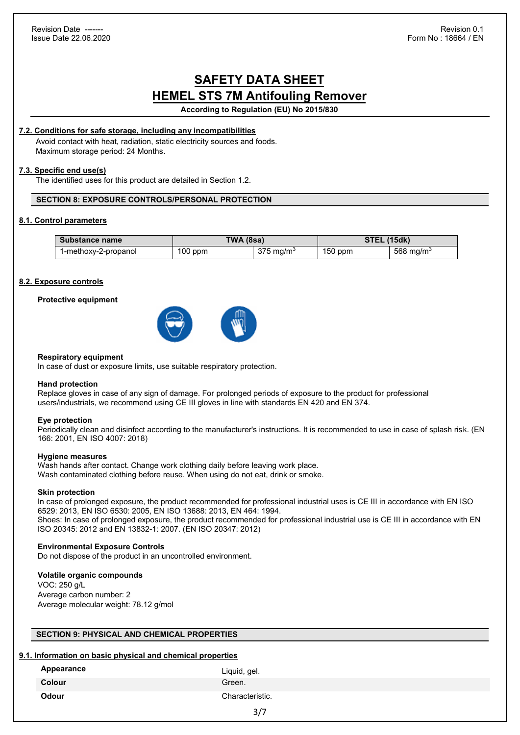**According to Regulation (EU) No 2015/830** 

## **7.2. Conditions for safe storage, including any incompatibilities**

 Avoid contact with heat, radiation, static electricity sources and foods. Maximum storage period: 24 Months.

### **7.3. Specific end use(s)**

The identified uses for this product are detailed in Section 1.2.

## **SECTION 8: EXPOSURE CONTROLS/PERSONAL PROTECTION**

## **8.1. Control parameters**

| Substance name       | TWA (8sa) |                      | <b>STEL (15dk)</b> |                       |
|----------------------|-----------|----------------------|--------------------|-----------------------|
| 1-methoxy-2-propanol | $100$ ppm | $375 \text{ mg/m}^3$ | $150$ ppm          | 568 mg/m <sup>3</sup> |

## **8.2. Exposure controls**

#### **Protective equipment**



#### **Respiratory equipment**

In case of dust or exposure limits, use suitable respiratory protection.

#### **Hand protection**

Replace gloves in case of any sign of damage. For prolonged periods of exposure to the product for professional users/industrials, we recommend using CE III gloves in line with standards EN 420 and EN 374.

#### **Eye protection**

Periodically clean and disinfect according to the manufacturer's instructions. It is recommended to use in case of splash risk. (EN 166: 2001, EN ISO 4007: 2018)

#### **Hygiene measures**

Wash hands after contact. Change work clothing daily before leaving work place. Wash contaminated clothing before reuse. When using do not eat, drink or smoke.

#### **Skin protection**

In case of prolonged exposure, the product recommended for professional industrial uses is CE III in accordance with EN ISO 6529: 2013, EN ISO 6530: 2005, EN ISO 13688: 2013, EN 464: 1994. Shoes: In case of prolonged exposure, the product recommended for professional industrial use is CE III in accordance with EN ISO 20345: 2012 and EN 13832-1: 2007. (EN ISO 20347: 2012)

## **Environmental Exposure Controls**

Do not dispose of the product in an uncontrolled environment.

#### **Volatile organic compounds**

VOC: 250 g/L Average carbon number: 2 Average molecular weight: 78.12 g/mol

## **SECTION 9: PHYSICAL AND CHEMICAL PROPERTIES**

### **9.1. Information on basic physical and chemical properties**

## **Appearance** Liquid, gel.

| Colour | Green. |
|--------|--------|
|        |        |

**Odour** Characteristic.

3/7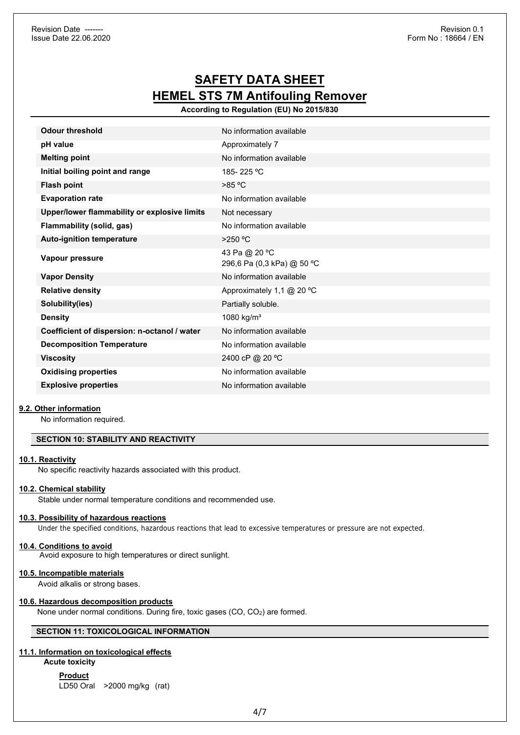**According to Regulation (EU) No 2015/830** 

| <b>Odour threshold</b>                       | No information available                    |
|----------------------------------------------|---------------------------------------------|
| pH value                                     | Approximately 7                             |
| <b>Melting point</b>                         | No information available                    |
| Initial boiling point and range              | 185-225 °C                                  |
| <b>Flash point</b>                           | $>85^{\circ}$ C                             |
| <b>Evaporation rate</b>                      | No information available                    |
| Upper/lower flammability or explosive limits | Not necessary                               |
| Flammability (solid, gas)                    | No information available                    |
| Auto-ignition temperature                    | $>250$ °C                                   |
| Vapour pressure                              | 43 Pa @ 20 °C<br>296,6 Pa (0,3 kPa) @ 50 °C |
| <b>Vapor Density</b>                         | No information available                    |
| <b>Relative density</b>                      | Approximately 1,1 @ 20 °C                   |
| Solubility(ies)                              | Partially soluble.                          |
| <b>Density</b>                               | 1080 kg/m <sup>3</sup>                      |
| Coefficient of dispersion: n-octanol / water | No information available                    |
| <b>Decomposition Temperature</b>             | No information available                    |
| <b>Viscosity</b>                             | 2400 cP @ 20 °C                             |
| <b>Oxidising properties</b>                  | No information available                    |
| <b>Explosive properties</b>                  | No information available                    |

## **9.2. Other information**

No information required.

# **SECTION 10: STABILITY AND REACTIVITY**

## **10.1. Reactivity**

No specific reactivity hazards associated with this product.

#### **10.2. Chemical stability**

Stable under normal temperature conditions and recommended use.

#### **10.3. Possibility of hazardous reactions**

Under the specified conditions, hazardous reactions that lead to excessive temperatures or pressure are not expected.

## **10.4. Conditions to avoid**

Avoid exposure to high temperatures or direct sunlight.

#### **10.5. Incompatible materials**

Avoid alkalis or strong bases.

#### **10.6. Hazardous decomposition products**

None under normal conditions. During fire, toxic gases (CO, CO2) are formed.

## **SECTION 11: TOXICOLOGICAL INFORMATION**

#### **11.1. Information on toxicological effects**

## **Acute toxicity**

## **Product**

LD50 Oral >2000 mg/kg (rat)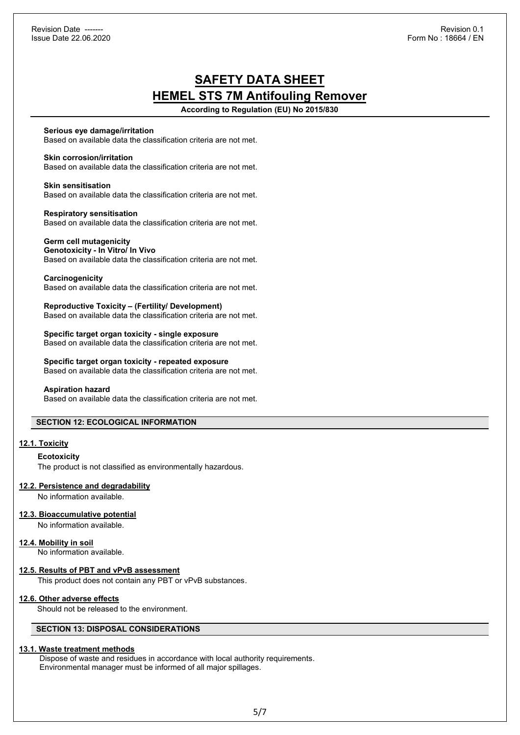**According to Regulation (EU) No 2015/830** 

**Serious eye damage/irritation**  Based on available data the classification criteria are not met.

**Skin corrosion/irritation**  Based on available data the classification criteria are not met.

**Skin sensitisation**  Based on available data the classification criteria are not met.

**Respiratory sensitisation**  Based on available data the classification criteria are not met.

#### **Germ cell mutagenicity Genotoxicity - In Vitro/ In Vivo**

Based on available data the classification criteria are not met.

**Carcinogenicity**  Based on available data the classification criteria are not met.

**Reproductive Toxicity – (Fertility/ Development)**  Based on available data the classification criteria are not met.

**Specific target organ toxicity - single exposure**  Based on available data the classification criteria are not met.

**Specific target organ toxicity - repeated exposure**  Based on available data the classification criteria are not met.

## **Aspiration hazard**

Based on available data the classification criteria are not met.

## **SECTION 12: ECOLOGICAL INFORMATION**

## **12.1. Toxicity**

**Ecotoxicity** 

The product is not classified as environmentally hazardous.

## **12.2. Persistence and degradability**

No information available.

## **12.3. Bioaccumulative potential**

No information available.

#### **12.4. Mobility in soil**

No information available.

#### **12.5. Results of PBT and vPvB assessment**

This product does not contain any PBT or vPvB substances.

#### **12.6. Other adverse effects**

Should not be released to the environment.

## **SECTION 13: DISPOSAL CONSIDERATIONS**

### **13.1. Waste treatment methods**

 Dispose of waste and residues in accordance with local authority requirements. Environmental manager must be informed of all major spillages.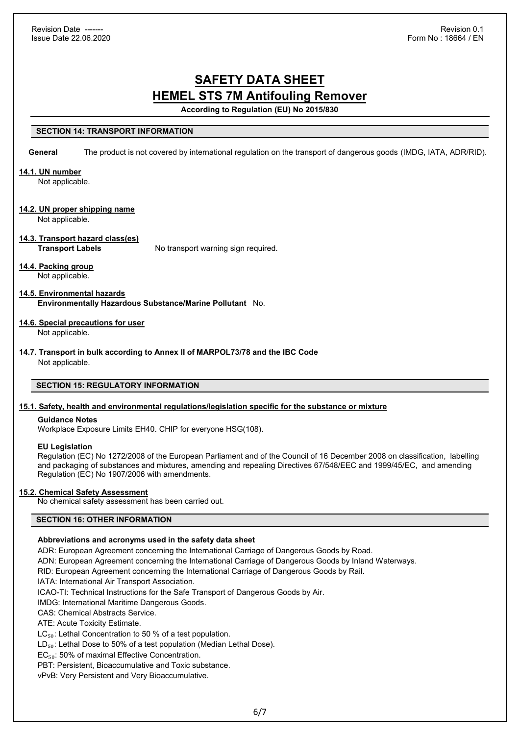**According to Regulation (EU) No 2015/830** 

## **SECTION 14: TRANSPORT INFORMATION**

**General** The product is not covered by international regulation on the transport of dangerous goods (IMDG, IATA, ADR/RID).

### **14.1. UN number**

Not applicable.

## **14.2. UN proper shipping name**

Not applicable.

## **14.3. Transport hazard class(es)**

**Transport Labels** No transport warning sign required.

## **14.4. Packing group**

Not applicable.

## **14.5. Environmental hazards**

**Environmentally Hazardous Substance/Marine Pollutant** No.

## **14.6. Special precautions for user**

Not applicable.

#### **14.7. Transport in bulk according to Annex II of MARPOL73/78 and the IBC Code**

Not applicable.

## **SECTION 15: REGULATORY INFORMATION**

#### **15.1. Safety, health and environmental regulations/legislation specific for the substance or mixture**

#### **Guidance Notes**

Workplace Exposure Limits EH40. CHIP for everyone HSG(108).

#### **EU Legislation**

Regulation (EC) No 1272/2008 of the European Parliament and of the Council of 16 December 2008 on classification, labelling and packaging of substances and mixtures, amending and repealing Directives 67/548/EEC and 1999/45/EC, and amending Regulation (EC) No 1907/2006 with amendments.

#### **15.2. Chemical Safety Assessment**

No chemical safety assessment has been carried out.

# **SECTION 16: OTHER INFORMATION**

## **Abbreviations and acronyms used in the safety data sheet**

ADR: European Agreement concerning the International Carriage of Dangerous Goods by Road.

ADN: European Agreement concerning the International Carriage of Dangerous Goods by Inland Waterways.

RID: European Agreement concerning the International Carriage of Dangerous Goods by Rail.

IATA: International Air Transport Association.

ICAO-TI: Technical Instructions for the Safe Transport of Dangerous Goods by Air.

IMDG: International Maritime Dangerous Goods.

CAS: Chemical Abstracts Service.

ATE: Acute Toxicity Estimate.

 $LC_{50}$ : Lethal Concentration to 50 % of a test population.

 $LD_{50}$ : Lethal Dose to 50% of a test population (Median Lethal Dose).

EC<sub>50</sub>: 50% of maximal Effective Concentration.

PBT: Persistent, Bioaccumulative and Toxic substance.

vPvB: Very Persistent and Very Bioaccumulative.